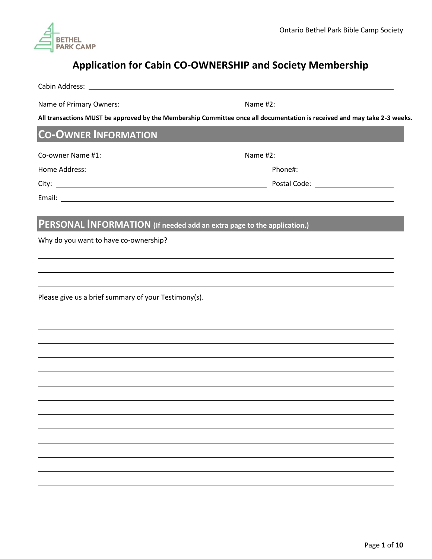

# **Application for Cabin CO-OWNERSHIP and Society Membership**

| All transactions MUST be approved by the Membership Committee once all documentation is received and may take 2-3 weeks. |                   |  |
|--------------------------------------------------------------------------------------------------------------------------|-------------------|--|
| <b>CO-OWNER INFORMATION</b>                                                                                              | <b>CONTRACTOR</b> |  |
|                                                                                                                          |                   |  |
|                                                                                                                          |                   |  |
|                                                                                                                          |                   |  |
|                                                                                                                          |                   |  |
| PERSONAL INFORMATION (If needed add an extra page to the application.)                                                   |                   |  |
|                                                                                                                          |                   |  |
|                                                                                                                          |                   |  |
| <u> 1989 - Johann Stoff, amerikansk politiker (d. 1989)</u>                                                              |                   |  |
|                                                                                                                          |                   |  |
|                                                                                                                          |                   |  |
| ,我们也不会有什么。""我们的人,我们也不会有什么?""我们的人,我们也不会有什么?""我们的人,我们也不会有什么?""我们的人,我们也不会有什么?""我们的人                                         |                   |  |
|                                                                                                                          |                   |  |
|                                                                                                                          |                   |  |
|                                                                                                                          |                   |  |
|                                                                                                                          |                   |  |
|                                                                                                                          |                   |  |
|                                                                                                                          |                   |  |
|                                                                                                                          |                   |  |
|                                                                                                                          |                   |  |
|                                                                                                                          |                   |  |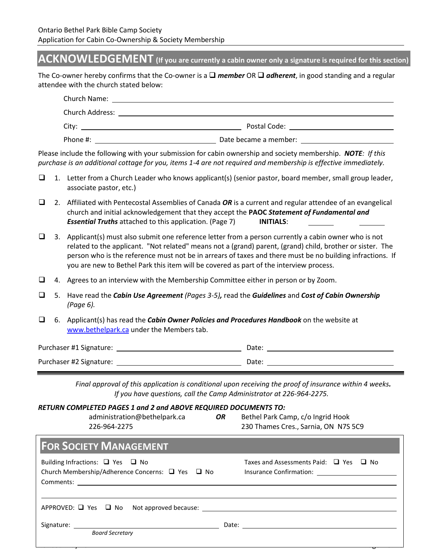# **ACKNOWLEDGEMENT (If you are currently a cabin owner only a signature is required for this section)**

The Co-owner hereby confirms that the Co-owner is a ❑ *member* OR ❑ *adherent*, in good standing and a regular attendee with the church stated below:

| Church Name:           |                       |
|------------------------|-----------------------|
| <b>Church Address:</b> |                       |
| City:                  | Postal Code:          |
| Phone #:               | Date became a member: |

Please include the following with your submission for cabin ownership and society membership. *NOTE: If this purchase is an additional cottage for you, items 1-4 are not required and membership is effective immediately.*

- ❑ 1. Letter from a Church Leader who knows applicant(s) (senior pastor, board member, small group leader, associate pastor, etc.)
- ❑ 2. Affiliated with Pentecostal Assemblies of Canada *OR* is a current and regular attendee of an evangelical church and initial acknowledgement that they accept the **PAOC** *Statement of Fundamental and Essential Truths* attached to this application. (Page 7) **INITIALS**:
- $\Box$  3. Applicant(s) must also submit one reference letter from a person currently a cabin owner who is not related to the applicant. "Not related" means not a (grand) parent, (grand) child, brother or sister. The person who is the reference must not be in arrears of taxes and there must be no building infractions. If you are new to Bethel Park this item will be covered as part of the interview process.
- ❑ 4. Agrees to an interview with the Membership Committee either in person or by Zoom.
- ❑ 5. Have read the *Cabin Use Agreement (Pages 3-5),* read the *Guidelines* and *Cost of Cabin Ownership (Page 6).*
- ❑ 6. Applicant(s) has read the *Cabin Owner Policies and Procedures Handbook* on the website at [www.bethelpark.ca](http://www.bethelpark.ca/) under the Members tab.

| Purchaser #1 Signature: | Date: |  |
|-------------------------|-------|--|
| Purchaser #2 Signature: | Date: |  |

*Final approval of this application is conditional upon receiving the proof of insurance within 4 weeks. If you have questions, call the Camp Administrator at 226-964-2275.*

| RETURN COMPLETED PAGES 1 and 2 and ABOVE REQUIRED DOCUMENTS TO: |  |  |  |
|-----------------------------------------------------------------|--|--|--|
|-----------------------------------------------------------------|--|--|--|

| administration@bethelpark.ca<br>226-964-2275 | OR | Bethel Park Camp, c/o Ingrid Hook<br>230 Thames Cres., Sarnia, ON N7S 5C9 |
|----------------------------------------------|----|---------------------------------------------------------------------------|
|----------------------------------------------|----|---------------------------------------------------------------------------|

| <b>FOR SOCIETY MANAGEMENT</b>                                                                  |                                                  |
|------------------------------------------------------------------------------------------------|--------------------------------------------------|
| Building Infractions: $\Box$ Yes $\Box$ No<br>Church Membership/Adherence Concerns: □ Yes □ No | Taxes and Assessments Paid: $\Box$ Yes $\Box$ No |
|                                                                                                |                                                  |
| <b>Board Secretary</b>                                                                         |                                                  |
|                                                                                                |                                                  |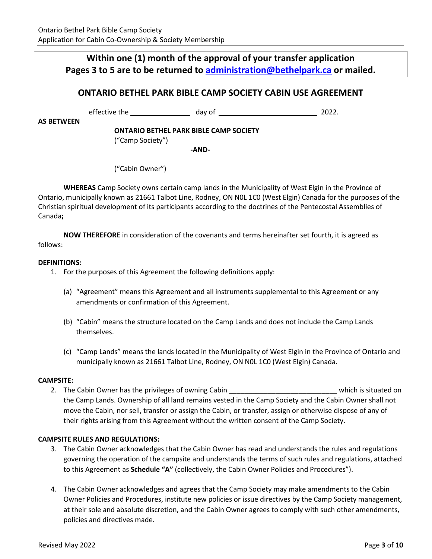# **Within one (1) month of the approval of your transfer application Pages 3 to 5 are to be returned to [administration@bethelpark.ca](mailto:administration@bethelpark.ca) or mailed.**

# **ONTARIO BETHEL PARK BIBLE CAMP SOCIETY CABIN USE AGREEMENT**

effective the day of building the 2022.

**AS BETWEEN** 

**ONTARIO BETHEL PARK BIBLE CAMP SOCIETY**

("Camp Society")

**-AND-**

("Cabin Owner")

**WHEREAS** Camp Society owns certain camp lands in the Municipality of West Elgin in the Province of Ontario, municipally known as 21661 Talbot Line, Rodney, ON N0L 1C0 (West Elgin) Canada for the purposes of the Christian spiritual development of its participants according to the doctrines of the Pentecostal Assemblies of Canada**;** 

**NOW THEREFORE** in consideration of the covenants and terms hereinafter set fourth, it is agreed as follows:

#### **DEFINITIONS:**

- 1. For the purposes of this Agreement the following definitions apply:
	- (a) "Agreement" means this Agreement and all instruments supplemental to this Agreement or any amendments or confirmation of this Agreement.
	- (b) "Cabin" means the structure located on the Camp Lands and does not include the Camp Lands themselves.
	- (c) "Camp Lands" means the lands located in the Municipality of West Elgin in the Province of Ontario and municipally known as 21661 Talbot Line, Rodney, ON N0L 1C0 (West Elgin) Canada.

#### **CAMPSITE:**

2. The Cabin Owner has the privileges of owning Cabin \_\_\_\_\_\_\_\_\_\_\_\_\_\_\_\_\_\_\_\_\_\_\_\_\_\_\_\_ which is situated on the Camp Lands. Ownership of all land remains vested in the Camp Society and the Cabin Owner shall not move the Cabin, nor sell, transfer or assign the Cabin, or transfer, assign or otherwise dispose of any of their rights arising from this Agreement without the written consent of the Camp Society.

#### **CAMPSITE RULES AND REGULATIONS:**

- 3. The Cabin Owner acknowledges that the Cabin Owner has read and understands the rules and regulations governing the operation of the campsite and understands the terms of such rules and regulations, attached to this Agreement as **Schedule "A"** (collectively, the Cabin Owner Policies and Procedures").
- 4. The Cabin Owner acknowledges and agrees that the Camp Society may make amendments to the Cabin Owner Policies and Procedures, institute new policies or issue directives by the Camp Society management, at their sole and absolute discretion, and the Cabin Owner agrees to comply with such other amendments, policies and directives made.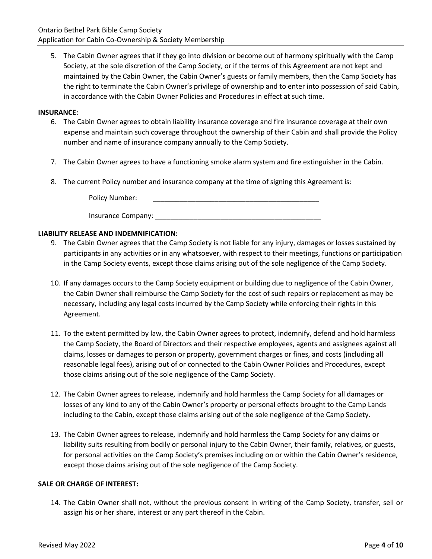5. The Cabin Owner agrees that if they go into division or become out of harmony spiritually with the Camp Society, at the sole discretion of the Camp Society, or if the terms of this Agreement are not kept and maintained by the Cabin Owner, the Cabin Owner's guests or family members, then the Camp Society has the right to terminate the Cabin Owner's privilege of ownership and to enter into possession of said Cabin, in accordance with the Cabin Owner Policies and Procedures in effect at such time.

#### **INSURANCE:**

- 6. The Cabin Owner agrees to obtain liability insurance coverage and fire insurance coverage at their own expense and maintain such coverage throughout the ownership of their Cabin and shall provide the Policy number and name of insurance company annually to the Camp Society.
- 7. The Cabin Owner agrees to have a functioning smoke alarm system and fire extinguisher in the Cabin.
- 8. The current Policy number and insurance company at the time of signing this Agreement is:

Policy Number:

#### **LIABILITY RELEASE AND INDEMNIFICATION:**

- 9. The Cabin Owner agrees that the Camp Society is not liable for any injury, damages or losses sustained by participants in any activities or in any whatsoever, with respect to their meetings, functions or participation in the Camp Society events, except those claims arising out of the sole negligence of the Camp Society.
- 10. If any damages occurs to the Camp Society equipment or building due to negligence of the Cabin Owner, the Cabin Owner shall reimburse the Camp Society for the cost of such repairs or replacement as may be necessary, including any legal costs incurred by the Camp Society while enforcing their rights in this Agreement.
- 11. To the extent permitted by law, the Cabin Owner agrees to protect, indemnify, defend and hold harmless the Camp Society, the Board of Directors and their respective employees, agents and assignees against all claims, losses or damages to person or property, government charges or fines, and costs (including all reasonable legal fees), arising out of or connected to the Cabin Owner Policies and Procedures, except those claims arising out of the sole negligence of the Camp Society.
- 12. The Cabin Owner agrees to release, indemnify and hold harmless the Camp Society for all damages or losses of any kind to any of the Cabin Owner's property or personal effects brought to the Camp Lands including to the Cabin, except those claims arising out of the sole negligence of the Camp Society.
- 13. The Cabin Owner agrees to release, indemnify and hold harmless the Camp Society for any claims or liability suits resulting from bodily or personal injury to the Cabin Owner, their family, relatives, or guests, for personal activities on the Camp Society's premises including on or within the Cabin Owner's residence, except those claims arising out of the sole negligence of the Camp Society.

#### **SALE OR CHARGE OF INTEREST:**

14. The Cabin Owner shall not, without the previous consent in writing of the Camp Society, transfer, sell or assign his or her share, interest or any part thereof in the Cabin.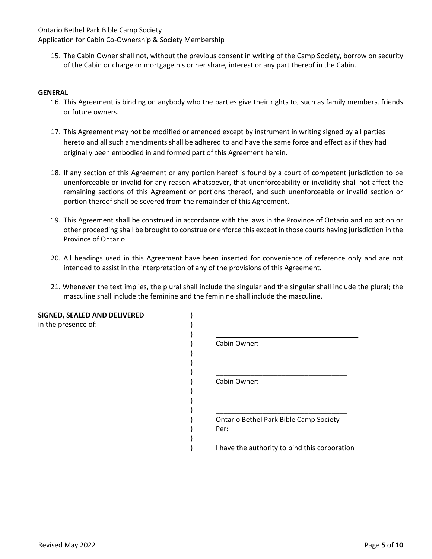15. The Cabin Owner shall not, without the previous consent in writing of the Camp Society, borrow on security of the Cabin or charge or mortgage his or her share, interest or any part thereof in the Cabin.

#### **GENERAL**

- 16. This Agreement is binding on anybody who the parties give their rights to, such as family members, friends or future owners.
- 17. This Agreement may not be modified or amended except by instrument in writing signed by all parties hereto and all such amendments shall be adhered to and have the same force and effect as if they had originally been embodied in and formed part of this Agreement herein.
- 18. If any section of this Agreement or any portion hereof is found by a court of competent jurisdiction to be unenforceable or invalid for any reason whatsoever, that unenforceability or invalidity shall not affect the remaining sections of this Agreement or portions thereof, and such unenforceable or invalid section or portion thereof shall be severed from the remainder of this Agreement.
- 19. This Agreement shall be construed in accordance with the laws in the Province of Ontario and no action or other proceeding shall be brought to construe or enforce this except in those courts having jurisdiction in the Province of Ontario.
- 20. All headings used in this Agreement have been inserted for convenience of reference only and are not intended to assist in the interpretation of any of the provisions of this Agreement.
- 21. Whenever the text implies, the plural shall include the singular and the singular shall include the plural; the masculine shall include the feminine and the feminine shall include the masculine.

| SIGNED, SEALED AND DELIVERED<br>in the presence of: |                                                |
|-----------------------------------------------------|------------------------------------------------|
|                                                     | Cabin Owner:                                   |
|                                                     |                                                |
|                                                     | Cabin Owner:                                   |
|                                                     |                                                |
|                                                     | Ontario Bethel Park Bible Camp Society<br>Per: |
|                                                     | I have the authority to bind this corporation  |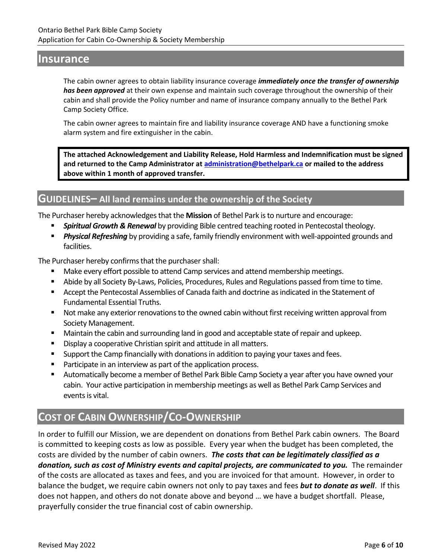# **Insurance**

The cabin owner agrees to obtain liability insurance coverage *immediately once the transfer of ownership has been approved* at their own expense and maintain such coverage throughout the ownership of their cabin and shall provide the Policy number and name of insurance company annually to the Bethel Park Camp Society Office.

The cabin owner agrees to maintain fire and liability insurance coverage AND have a functioning smoke alarm system and fire extinguisher in the cabin.

**The attached Acknowledgement and Liability Release, Hold Harmless and Indemnification must be signed and returned to the Camp Administrator a[t administration@bethelpark.ca](mailto:administration@bethelpark.ca) or mailed to the address above within 1 month of approved transfer.**

# **GUIDELINES– All land remains under the ownership of the Society**

The Purchaser hereby acknowledges that the **Mission** of Bethel Park is to nurture and encourage:

- **Spiritual Growth & Renewal** by providing Bible centred teaching rooted in Pentecostal theology.
- **Physical Refreshing** by providing a safe, family friendly environment with well-appointed grounds and facilities.

The Purchaser hereby confirms that the purchaser shall:

- Make every effort possible to attend Camp services and attend membership meetings.
- **E** Abide by all Society By-Laws, Policies, Procedures, Rules and Regulations passed from time to time.
- Accept the Pentecostal Assemblies of Canada faith and doctrine as indicated in the Statement of Fundamental Essential Truths.
- Not make any exterior renovations to the owned cabin without first receiving written approval from Society Management.
- Maintain the cabin and surrounding land in good and acceptable state of repair and upkeep.
- Display a cooperative Christian spirit and attitude in all matters.
- Support the Camp financially with donations in addition to paying your taxes and fees.
- Participate in an interview as part of the application process.
- Automatically become a member of Bethel Park Bible Camp Society a year after you have owned your cabin. Your active participation in membership meetings as well as Bethel Park Camp Services and events is vital.

# **COST OF CABIN OWNERSHIP/CO-OWNERSHIP**

In order to fulfill our Mission, we are dependent on donations from Bethel Park cabin owners. The Board is committed to keeping costs as low as possible. Every year when the budget has been completed, the costs are divided by the number of cabin owners. *The costs that can be legitimately classified as a donation, such as cost of Ministry events and capital projects, are communicated to you.* The remainder of the costs are allocated as taxes and fees, and you are invoiced for that amount. However, in order to balance the budget, we require cabin owners not only to pay taxes and fees *but to donate as well*. If this does not happen, and others do not donate above and beyond … we have a budget shortfall. Please, prayerfully consider the true financial cost of cabin ownership.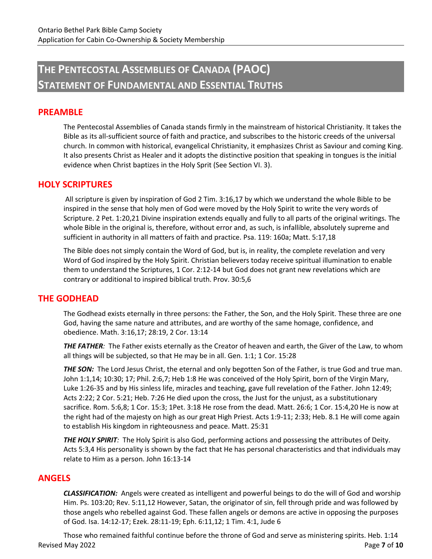# **THE PENTECOSTAL ASSEMBLIES OF CANADA (PAOC) STATEMENT OF FUNDAMENTAL AND ESSENTIAL TRUTHS**

### **PREAMBLE**

The Pentecostal Assemblies of Canada stands firmly in the mainstream of historical Christianity. It takes the Bible as its all-sufficient source of faith and practice, and subscribes to the historic creeds of the universal church. In common with historical, evangelical Christianity, it emphasizes Christ as Saviour and coming King. It also presents Christ as Healer and it adopts the distinctive position that speaking in tongues is the initial evidence when Christ baptizes in the Holy Sprit (See Section VI. 3).

#### **HOLY SCRIPTURES**

All scripture is given by inspiration of God 2 Tim. 3:16,17 by which we understand the whole Bible to be inspired in the sense that holy men of God were moved by the Holy Spirit to write the very words of Scripture. 2 Pet. 1:20,21 Divine inspiration extends equally and fully to all parts of the original writings. The whole Bible in the original is, therefore, without error and, as such, is infallible, absolutely supreme and sufficient in authority in all matters of faith and practice. Psa. 119: 160a; Matt. 5:17,18

The Bible does not simply contain the Word of God, but is, in reality, the complete revelation and very Word of God inspired by the Holy Spirit. Christian believers today receive spiritual illumination to enable them to understand the Scriptures, 1 Cor. 2:12-14 but God does not grant new revelations which are contrary or additional to inspired biblical truth. Prov. 30:5,6

#### **THE GODHEAD**

The Godhead exists eternally in three persons: the Father, the Son, and the Holy Spirit. These three are one God, having the same nature and attributes, and are worthy of the same homage, confidence, and obedience. Math. 3:16,17; 28:19, 2 Cor. 13:14

*THE FATHER:* The Father exists eternally as the Creator of heaven and earth, the Giver of the Law, to whom all things will be subjected, so that He may be in all. Gen. 1:1; 1 Cor. 15:28

**THE SON:** The Lord Jesus Christ, the eternal and only begotten Son of the Father, is true God and true man. John 1:1,14; 10:30; 17; Phil. 2:6,7; Heb 1:8 He was conceived of the Holy Spirit, born of the Virgin Mary, Luke 1:26-35 and by His sinless life, miracles and teaching, gave full revelation of the Father. John 12:49; Acts 2:22; 2 Cor. 5:21; Heb. 7:26 He died upon the cross, the Just for the unjust, as a substitutionary sacrifice. Rom. 5:6,8; 1 Cor. 15:3; 1Pet. 3:18 He rose from the dead. Matt. 26:6; 1 Cor. 15:4,20 He is now at the right had of the majesty on high as our great High Priest. Acts 1:9-11; 2:33; Heb. 8.1 He will come again to establish His kingdom in righteousness and peace. Matt. 25:31

*THE HOLY SPIRIT:* The Holy Spirit is also God, performing actions and possessing the attributes of Deity. Acts 5:3,4 His personality is shown by the fact that He has personal characteristics and that individuals may relate to Him as a person. John 16:13-14

### **ANGELS**

*CLASSIFICATION:* Angels were created as intelligent and powerful beings to do the will of God and worship Him. Ps. 103:20; Rev. 5:11,12 However, Satan, the originator of sin, fell through pride and was followed by those angels who rebelled against God. These fallen angels or demons are active in opposing the purposes of God. Isa. 14:12-17; Ezek. 28:11-19; Eph. 6:11,12; 1 Tim. 4:1, Jude 6

Revised May 2022 Page **7** of **10** Those who remained faithful continue before the throne of God and serve as ministering spirits. Heb. 1:14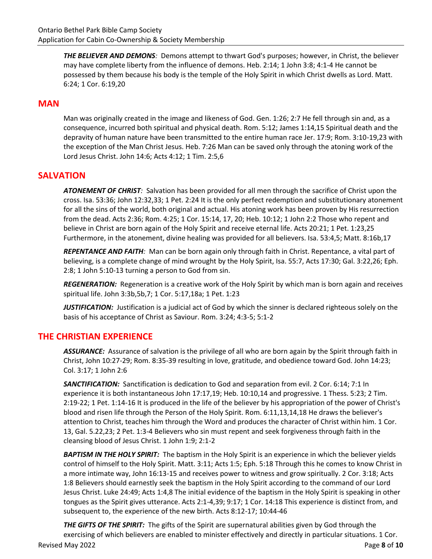*THE BELIEVER AND DEMONS:* Demons attempt to thwart God's purposes; however, in Christ, the believer may have complete liberty from the influence of demons. Heb. 2:14; 1 John 3:8; 4:1-4 He cannot be possessed by them because his body is the temple of the Holy Spirit in which Christ dwells as Lord. Matt. 6:24; 1 Cor. 6:19,20

## **MAN**

Man was originally created in the image and likeness of God. Gen. 1:26; 2:7 He fell through sin and, as a consequence, incurred both spiritual and physical death. Rom. 5:12; James 1:14,15 Spiritual death and the depravity of human nature have been transmitted to the entire human race Jer. 17:9; Rom. 3:10-19,23 with the exception of the Man Christ Jesus. Heb. 7:26 Man can be saved only through the atoning work of the Lord Jesus Christ. John 14:6; Acts 4:12; 1 Tim. 2:5,6

## **SALVATION**

*ATONEMENT OF CHRIST:* Salvation has been provided for all men through the sacrifice of Christ upon the cross. Isa. 53:36; John 12:32,33; 1 Pet. 2:24 It is the only perfect redemption and substitutionary atonement for all the sins of the world, both original and actual. His atoning work has been proven by His resurrection from the dead. Acts 2:36; Rom. 4:25; 1 Cor. 15:14, 17, 20; Heb. 10:12; 1 John 2:2 Those who repent and believe in Christ are born again of the Holy Spirit and receive eternal life. Acts 20:21; 1 Pet. 1:23,25 Furthermore, in the atonement, divine healing was provided for all believers. Isa. 53:4,5; Matt. 8:16b,17

*REPENTANCE AND FAITH:* Man can be born again only through faith in Christ. Repentance, a vital part of believing, is a complete change of mind wrought by the Holy Spirit, Isa. 55:7, Acts 17:30; Gal. 3:22,26; Eph. 2:8; 1 John 5:10-13 turning a person to God from sin.

*REGENERATION:* Regeneration is a creative work of the Holy Spirit by which man is born again and receives spiritual life. John 3:3b,5b,7; 1 Cor. 5:17,18a; 1 Pet. 1:23

*JUSTIFICATION:* Justification is a judicial act of God by which the sinner is declared righteous solely on the basis of his acceptance of Christ as Saviour. Rom. 3:24; 4:3-5; 5:1-2

### **THE CHRISTIAN EXPERIENCE**

*ASSURANCE:* Assurance of salvation is the privilege of all who are born again by the Spirit through faith in Christ, John 10:27-29; Rom. 8:35-39 resulting in love, gratitude, and obedience toward God. John 14:23; Col. 3:17; 1 John 2:6

*SANCTIFICATION:* Sanctification is dedication to God and separation from evil. 2 Cor. 6:14; 7:1 In experience it is both instantaneous John 17:17,19; Heb. 10:10,14 and progressive. 1 Thess. 5:23; 2 Tim. 2:19-22; 1 Pet. 1:14-16 It is produced in the life of the believer by his appropriation of the power of Christ's blood and risen life through the Person of the Holy Spirit. Rom. 6:11,13,14,18 He draws the believer's attention to Christ, teaches him through the Word and produces the character of Christ within him. 1 Cor. 13, Gal. 5.22,23; 2 Pet. 1:3-4 Believers who sin must repent and seek forgiveness through faith in the cleansing blood of Jesus Christ. 1 John 1:9; 2:1-2

*BAPTISM IN THE HOLY SPIRIT:* The baptism in the Holy Spirit is an experience in which the believer yields control of himself to the Holy Spirit. Matt. 3:11; Acts 1:5; Eph. 5:18 Through this he comes to know Christ in a more intimate way, John 16:13-15 and receives power to witness and grow spiritually. 2 Cor. 3:18; Acts 1:8 Believers should earnestly seek the baptism in the Holy Spirit according to the command of our Lord Jesus Christ. Luke 24:49; Acts 1:4,8 The initial evidence of the baptism in the Holy Spirit is speaking in other tongues as the Spirit gives utterance. Acts 2:1-4,39; 9:17; 1 Cor. 14:18 This experience is distinct from, and subsequent to, the experience of the new birth. Acts 8:12-17; 10:44-46

Revised May 2022 Page **8** of **10** *THE GIFTS OF THE SPIRIT:* The gifts of the Spirit are supernatural abilities given by God through the exercising of which believers are enabled to minister effectively and directly in particular situations. 1 Cor.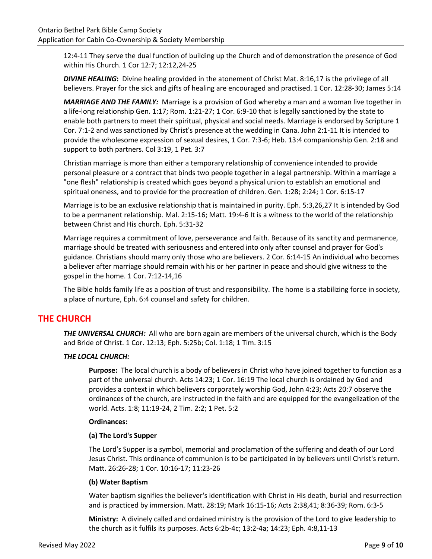12:4-11 They serve the dual function of building up the Church and of demonstration the presence of God within His Church. 1 Cor 12:7; 12:12,24-25

*DIVINE HEALING***:** Divine healing provided in the atonement of Christ Mat. 8:16,17 is the privilege of all believers. Prayer for the sick and gifts of healing are encouraged and practised. 1 Cor. 12:28-30; James 5:14

*MARRIAGE AND THE FAMILY:* Marriage is a provision of God whereby a man and a woman live together in a life-long relationship Gen. 1:17; Rom. 1:21-27; 1 Cor. 6:9-10 that is legally sanctioned by the state to enable both partners to meet their spiritual, physical and social needs. Marriage is endorsed by Scripture 1 Cor. 7:1-2 and was sanctioned by Christ's presence at the wedding in Cana. John 2:1-11 It is intended to provide the wholesome expression of sexual desires, 1 Cor. 7:3-6; Heb. 13:4 companionship Gen. 2:18 and support to both partners. Col 3:19, 1 Pet. 3:7

Christian marriage is more than either a temporary relationship of convenience intended to provide personal pleasure or a contract that binds two people together in a legal partnership. Within a marriage a "one flesh" relationship is created which goes beyond a physical union to establish an emotional and spiritual oneness, and to provide for the procreation of children. Gen. 1:28; 2:24; 1 Cor. 6:15-17

Marriage is to be an exclusive relationship that is maintained in purity. Eph. 5:3,26,27 It is intended by God to be a permanent relationship. Mal. 2:15-16; Matt. 19:4-6 It is a witness to the world of the relationship between Christ and His church. Eph. 5:31-32

Marriage requires a commitment of love, perseverance and faith. Because of its sanctity and permanence, marriage should be treated with seriousness and entered into only after counsel and prayer for God's guidance. Christians should marry only those who are believers. 2 Cor. 6:14-15 An individual who becomes a believer after marriage should remain with his or her partner in peace and should give witness to the gospel in the home. 1 Cor. 7:12-14,16

The Bible holds family life as a position of trust and responsibility. The home is a stabilizing force in society, a place of nurture, Eph. 6:4 counsel and safety for children.

# **THE CHURCH**

*THE UNIVERSAL CHURCH:* All who are born again are members of the universal church, which is the Body and Bride of Christ. 1 Cor. 12:13; Eph. 5:25b; Col. 1:18; 1 Tim. 3:15

#### *THE LOCAL CHURCH:*

**Purpose:** The local church is a body of believers in Christ who have joined together to function as a part of the universal church. Acts 14:23; 1 Cor. 16:19 The local church is ordained by God and provides a context in which believers corporately worship God, John 4:23; Acts 20:7 observe the ordinances of the church, are instructed in the faith and are equipped for the evangelization of the world. Acts. 1:8; 11:19-24, 2 Tim. 2:2; 1 Pet. 5:2

#### **Ordinances:**

#### **(a) The Lord's Supper**

The Lord's Supper is a symbol, memorial and proclamation of the suffering and death of our Lord Jesus Christ. This ordinance of communion is to be participated in by believers until Christ's return. Matt. 26:26-28; 1 Cor. 10:16-17; 11:23-26

#### **(b) Water Baptism**

Water baptism signifies the believer's identification with Christ in His death, burial and resurrection and is practiced by immersion. Matt. 28:19; Mark 16:15-16; Acts 2:38,41; 8:36-39; Rom. 6:3-5

**Ministry:** A divinely called and ordained ministry is the provision of the Lord to give leadership to the church as it fulfils its purposes. Acts 6:2b-4c; 13:2-4a; 14:23; Eph. 4:8,11-13